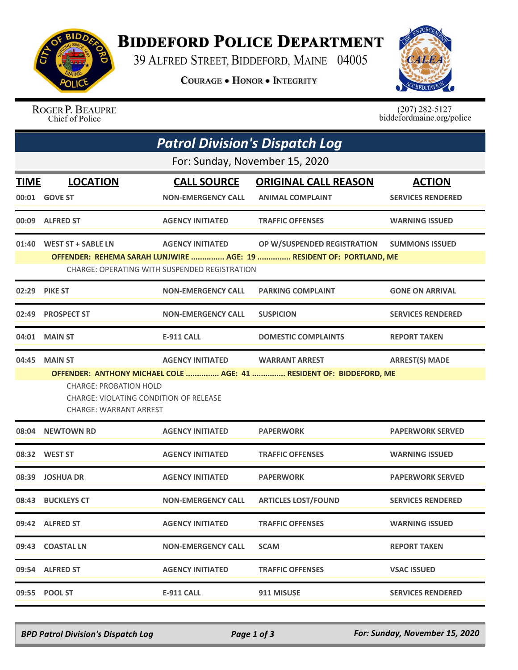

## **BIDDEFORD POLICE DEPARTMENT**

39 ALFRED STREET, BIDDEFORD, MAINE 04005

**COURAGE . HONOR . INTEGRITY** 



ROGER P. BEAUPRE Chief of Police

 $(207)$  282-5127 biddefordmaine.org/police

| <b>Patrol Division's Dispatch Log</b> |                                                                                                                                                                                                                                                                                |                                                 |                                                        |                                           |  |  |  |  |
|---------------------------------------|--------------------------------------------------------------------------------------------------------------------------------------------------------------------------------------------------------------------------------------------------------------------------------|-------------------------------------------------|--------------------------------------------------------|-------------------------------------------|--|--|--|--|
| For: Sunday, November 15, 2020        |                                                                                                                                                                                                                                                                                |                                                 |                                                        |                                           |  |  |  |  |
| <b>TIME</b>                           | <b>LOCATION</b><br>00:01 GOVE ST                                                                                                                                                                                                                                               | <b>CALL SOURCE</b><br><b>NON-EMERGENCY CALL</b> | <b>ORIGINAL CALL REASON</b><br><b>ANIMAL COMPLAINT</b> | <b>ACTION</b><br><b>SERVICES RENDERED</b> |  |  |  |  |
| 00:09                                 | <b>ALFRED ST</b>                                                                                                                                                                                                                                                               | <b>AGENCY INITIATED</b>                         | <b>TRAFFIC OFFENSES</b>                                | <b>WARNING ISSUED</b>                     |  |  |  |  |
|                                       | 01:40 WEST ST + SABLE LN<br><b>AGENCY INITIATED</b><br>OP W/SUSPENDED REGISTRATION<br><b>SUMMONS ISSUED</b><br>OFFENDER: REHEMA SARAH LUNJWIRE  AGE: 19  RESIDENT OF: PORTLAND, ME<br><b>CHARGE: OPERATING WITH SUSPENDED REGISTRATION</b>                                     |                                                 |                                                        |                                           |  |  |  |  |
| 02:29                                 | <b>PIKE ST</b>                                                                                                                                                                                                                                                                 | <b>NON-EMERGENCY CALL</b>                       | <b>PARKING COMPLAINT</b>                               | <b>GONE ON ARRIVAL</b>                    |  |  |  |  |
| 02:49                                 | <b>PROSPECT ST</b>                                                                                                                                                                                                                                                             | <b>NON-EMERGENCY CALL</b>                       | <b>SUSPICION</b>                                       | <b>SERVICES RENDERED</b>                  |  |  |  |  |
| 04:01                                 | <b>MAIN ST</b>                                                                                                                                                                                                                                                                 | <b>E-911 CALL</b>                               | <b>DOMESTIC COMPLAINTS</b>                             | <b>REPORT TAKEN</b>                       |  |  |  |  |
| 04:45                                 | <b>MAIN ST</b><br><b>AGENCY INITIATED</b><br><b>WARRANT ARREST</b><br><b>ARREST(S) MADE</b><br>OFFENDER: ANTHONY MICHAEL COLE  AGE: 41  RESIDENT OF: BIDDEFORD, ME<br><b>CHARGE: PROBATION HOLD</b><br>CHARGE: VIOLATING CONDITION OF RELEASE<br><b>CHARGE: WARRANT ARREST</b> |                                                 |                                                        |                                           |  |  |  |  |
| 08:04                                 | <b>NEWTOWN RD</b>                                                                                                                                                                                                                                                              | <b>AGENCY INITIATED</b>                         | <b>PAPERWORK</b>                                       | <b>PAPERWORK SERVED</b>                   |  |  |  |  |
|                                       | 08:32 WEST ST                                                                                                                                                                                                                                                                  | <b>AGENCY INITIATED</b>                         | <b>TRAFFIC OFFENSES</b>                                | <b>WARNING ISSUED</b>                     |  |  |  |  |
| 08:39                                 | <b>JOSHUA DR</b>                                                                                                                                                                                                                                                               | <b>AGENCY INITIATED</b>                         | <b>PAPERWORK</b>                                       | <b>PAPERWORK SERVED</b>                   |  |  |  |  |
| 08:43                                 | <b>BUCKLEYS CT</b>                                                                                                                                                                                                                                                             | <b>NON-EMERGENCY CALL</b>                       | <b>ARTICLES LOST/FOUND</b>                             | <b>SERVICES RENDERED</b>                  |  |  |  |  |
|                                       | 09:42 ALFRED ST                                                                                                                                                                                                                                                                | <b>AGENCY INITIATED</b>                         | <b>TRAFFIC OFFENSES</b>                                | <b>WARNING ISSUED</b>                     |  |  |  |  |
|                                       | 09:43 COASTAL LN                                                                                                                                                                                                                                                               | <b>NON-EMERGENCY CALL</b>                       | <b>SCAM</b>                                            | <b>REPORT TAKEN</b>                       |  |  |  |  |
|                                       | 09:54 ALFRED ST                                                                                                                                                                                                                                                                | <b>AGENCY INITIATED</b>                         | <b>TRAFFIC OFFENSES</b>                                | <b>VSAC ISSUED</b>                        |  |  |  |  |
|                                       | 09:55 POOL ST                                                                                                                                                                                                                                                                  | <b>E-911 CALL</b>                               | 911 MISUSE                                             | <b>SERVICES RENDERED</b>                  |  |  |  |  |

*BPD Patrol Division's Dispatch Log Page 1 of 3 For: Sunday, November 15, 2020*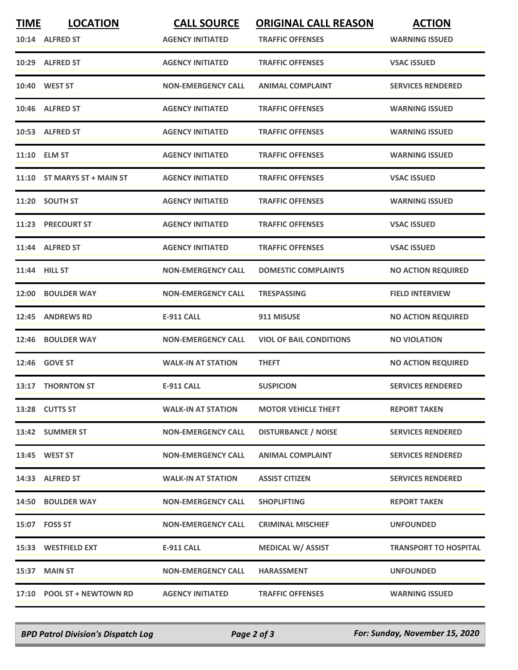| <b>TIME</b> | <b>LOCATION</b>             | <b>CALL SOURCE</b>        | <b>ORIGINAL CALL REASON</b>    | <b>ACTION</b>                |
|-------------|-----------------------------|---------------------------|--------------------------------|------------------------------|
|             | 10:14 ALFRED ST             | <b>AGENCY INITIATED</b>   | <b>TRAFFIC OFFENSES</b>        | <b>WARNING ISSUED</b>        |
|             | 10:29 ALFRED ST             | <b>AGENCY INITIATED</b>   | <b>TRAFFIC OFFENSES</b>        | <b>VSAC ISSUED</b>           |
|             | 10:40 WEST ST               | <b>NON-EMERGENCY CALL</b> | <b>ANIMAL COMPLAINT</b>        | <b>SERVICES RENDERED</b>     |
|             | 10:46 ALFRED ST             | <b>AGENCY INITIATED</b>   | <b>TRAFFIC OFFENSES</b>        | <b>WARNING ISSUED</b>        |
|             | 10:53 ALFRED ST             | <b>AGENCY INITIATED</b>   | <b>TRAFFIC OFFENSES</b>        | <b>WARNING ISSUED</b>        |
|             | 11:10 ELM ST                | <b>AGENCY INITIATED</b>   | <b>TRAFFIC OFFENSES</b>        | <b>WARNING ISSUED</b>        |
|             | 11:10 ST MARYS ST + MAIN ST | <b>AGENCY INITIATED</b>   | <b>TRAFFIC OFFENSES</b>        | <b>VSAC ISSUED</b>           |
|             | 11:20 SOUTH ST              | <b>AGENCY INITIATED</b>   | <b>TRAFFIC OFFENSES</b>        | <b>WARNING ISSUED</b>        |
|             | 11:23 PRECOURT ST           | <b>AGENCY INITIATED</b>   | <b>TRAFFIC OFFENSES</b>        | <b>VSAC ISSUED</b>           |
|             | 11:44 ALFRED ST             | <b>AGENCY INITIATED</b>   | <b>TRAFFIC OFFENSES</b>        | <b>VSAC ISSUED</b>           |
|             | 11:44 HILL ST               | <b>NON-EMERGENCY CALL</b> | <b>DOMESTIC COMPLAINTS</b>     | <b>NO ACTION REQUIRED</b>    |
|             | 12:00 BOULDER WAY           | <b>NON-EMERGENCY CALL</b> | <b>TRESPASSING</b>             | <b>FIELD INTERVIEW</b>       |
| 12:45       | <b>ANDREWS RD</b>           | <b>E-911 CALL</b>         | 911 MISUSE                     | <b>NO ACTION REQUIRED</b>    |
| 12:46       | <b>BOULDER WAY</b>          | <b>NON-EMERGENCY CALL</b> | <b>VIOL OF BAIL CONDITIONS</b> | <b>NO VIOLATION</b>          |
|             | 12:46 GOVE ST               | <b>WALK-IN AT STATION</b> | <b>THEFT</b>                   | <b>NO ACTION REQUIRED</b>    |
|             | 13:17 THORNTON ST           | <b>E-911 CALL</b>         | <b>SUSPICION</b>               | <b>SERVICES RENDERED</b>     |
|             | 13:28 CUTTS ST              | <b>WALK-IN AT STATION</b> | <b>MOTOR VEHICLE THEFT</b>     | <b>REPORT TAKEN</b>          |
|             | 13:42 SUMMER ST             | <b>NON-EMERGENCY CALL</b> | <b>DISTURBANCE / NOISE</b>     | <b>SERVICES RENDERED</b>     |
|             | 13:45 WEST ST               | <b>NON-EMERGENCY CALL</b> | <b>ANIMAL COMPLAINT</b>        | <b>SERVICES RENDERED</b>     |
|             | 14:33 ALFRED ST             | <b>WALK-IN AT STATION</b> | <b>ASSIST CITIZEN</b>          | <b>SERVICES RENDERED</b>     |
|             | 14:50 BOULDER WAY           | <b>NON-EMERGENCY CALL</b> | <b>SHOPLIFTING</b>             | <b>REPORT TAKEN</b>          |
|             | 15:07    FOSS ST            | <b>NON-EMERGENCY CALL</b> | <b>CRIMINAL MISCHIEF</b>       | <b>UNFOUNDED</b>             |
|             | 15:33 WESTFIELD EXT         | <b>E-911 CALL</b>         | <b>MEDICAL W/ ASSIST</b>       | <b>TRANSPORT TO HOSPITAL</b> |
|             | 15:37 MAIN ST               | <b>NON-EMERGENCY CALL</b> | <b>HARASSMENT</b>              | <b>UNFOUNDED</b>             |
|             | 17:10 POOL ST + NEWTOWN RD  | <b>AGENCY INITIATED</b>   | <b>TRAFFIC OFFENSES</b>        | <b>WARNING ISSUED</b>        |

*BPD Patrol Division's Dispatch Log Page 2 of 3 For: Sunday, November 15, 2020*